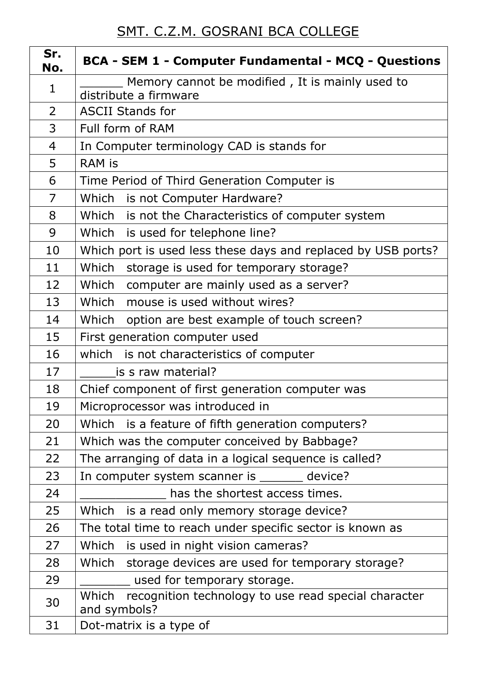## SMT. C.Z.M. GOSRANI BCA COLLEGE

| Sr.<br>No.     | <b>BCA - SEM 1 - Computer Fundamental - MCQ - Questions</b>                   |
|----------------|-------------------------------------------------------------------------------|
| $\mathbf{1}$   | Memory cannot be modified, It is mainly used to<br>distribute a firmware      |
| $\overline{2}$ | <b>ASCII Stands for</b>                                                       |
| 3              | Full form of RAM                                                              |
| 4              | In Computer terminology CAD is stands for                                     |
| 5              | <b>RAM is</b>                                                                 |
| 6              | Time Period of Third Generation Computer is                                   |
| $\overline{7}$ | Which<br>is not Computer Hardware?                                            |
| 8              | Which is not the Characteristics of computer system                           |
| 9              | Which is used for telephone line?                                             |
| 10             | Which port is used less these days and replaced by USB ports?                 |
| 11             | Which<br>storage is used for temporary storage?                               |
| 12             | Which<br>computer are mainly used as a server?                                |
| 13             | Which<br>mouse is used without wires?                                         |
| 14             | Which<br>option are best example of touch screen?                             |
| 15             | First generation computer used                                                |
| 16             | which is not characteristics of computer                                      |
| 17             | is s raw material?                                                            |
| 18             | Chief component of first generation computer was                              |
| 19             | Microprocessor was introduced in                                              |
| 20             | Which is a feature of fifth generation computers?                             |
| 21             | Which was the computer conceived by Babbage?                                  |
| 22             | The arranging of data in a logical sequence is called?                        |
| 23             | In computer system scanner is ________ device?                                |
| 24             | has the shortest access times.                                                |
| 25             | Which<br>is a read only memory storage device?                                |
| 26             | The total time to reach under specific sector is known as                     |
| 27             | Which<br>is used in night vision cameras?                                     |
| 28             | Which<br>storage devices are used for temporary storage?                      |
| 29             | used for temporary storage.                                                   |
| 30             | recognition technology to use read special character<br>Which<br>and symbols? |
| 31             | Dot-matrix is a type of                                                       |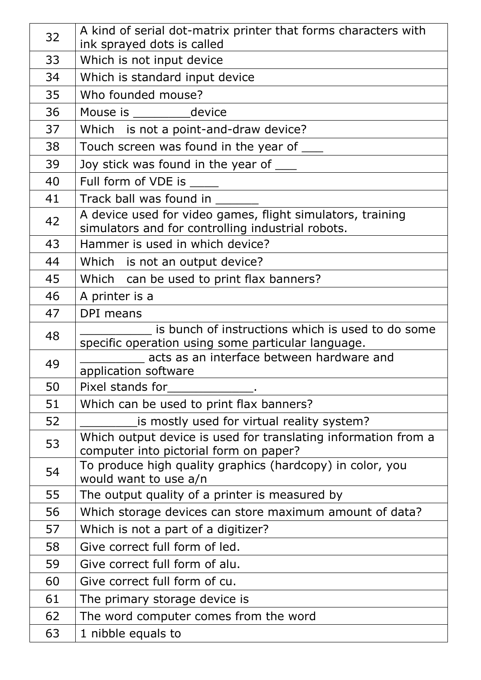| 32 | A kind of serial dot-matrix printer that forms characters with<br>ink sprayed dots is called                    |
|----|-----------------------------------------------------------------------------------------------------------------|
| 33 | Which is not input device                                                                                       |
| 34 | Which is standard input device                                                                                  |
| 35 | Who founded mouse?                                                                                              |
| 36 | Mouse is ____________device                                                                                     |
| 37 | Which is not a point-and-draw device?                                                                           |
| 38 | Touch screen was found in the year of ____                                                                      |
| 39 | Joy stick was found in the year of ____                                                                         |
| 40 | Full form of VDE is                                                                                             |
| 41 | Track ball was found in                                                                                         |
| 42 | A device used for video games, flight simulators, training<br>simulators and for controlling industrial robots. |
| 43 | Hammer is used in which device?                                                                                 |
| 44 | Which is not an output device?                                                                                  |
| 45 | Which can be used to print flax banners?                                                                        |
| 46 | A printer is a                                                                                                  |
| 47 | DPI means                                                                                                       |
| 48 | is bunch of instructions which is used to do some<br>specific operation using some particular language.         |
| 49 | acts as an interface between hardware and                                                                       |
| 50 | application software<br>Pixel stands for                                                                        |
| 51 | Which can be used to print flax banners?                                                                        |
| 52 | is mostly used for virtual reality system?                                                                      |
|    | Which output device is used for translating information from a                                                  |
| 53 | computer into pictorial form on paper?                                                                          |
| 54 | To produce high quality graphics (hardcopy) in color, you<br>would want to use a/n                              |
| 55 | The output quality of a printer is measured by                                                                  |
| 56 | Which storage devices can store maximum amount of data?                                                         |
| 57 | Which is not a part of a digitizer?                                                                             |
| 58 | Give correct full form of led.                                                                                  |
| 59 | Give correct full form of alu.                                                                                  |
| 60 | Give correct full form of cu.                                                                                   |
| 61 | The primary storage device is                                                                                   |
| 62 | The word computer comes from the word                                                                           |
| 63 | 1 nibble equals to                                                                                              |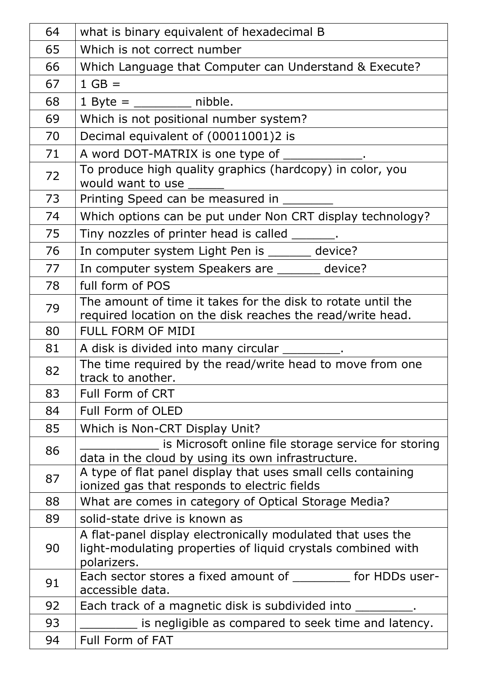| 64 | what is binary equivalent of hexadecimal B                                                                                                 |
|----|--------------------------------------------------------------------------------------------------------------------------------------------|
| 65 | Which is not correct number                                                                                                                |
| 66 | Which Language that Computer can Understand & Execute?                                                                                     |
| 67 | $1 GB =$                                                                                                                                   |
| 68 | $1$ Byte = ___________ nibble.                                                                                                             |
| 69 | Which is not positional number system?                                                                                                     |
| 70 | Decimal equivalent of (00011001)2 is                                                                                                       |
| 71 | A word DOT-MATRIX is one type of ____________.                                                                                             |
| 72 | To produce high quality graphics (hardcopy) in color, you<br>would want to use                                                             |
| 73 | Printing Speed can be measured in _                                                                                                        |
| 74 | Which options can be put under Non CRT display technology?                                                                                 |
| 75 | Tiny nozzles of printer head is called _______.                                                                                            |
| 76 | In computer system Light Pen is _______ device?                                                                                            |
| 77 | In computer system Speakers are ______ device?                                                                                             |
| 78 | full form of POS                                                                                                                           |
| 79 | The amount of time it takes for the disk to rotate until the<br>required location on the disk reaches the read/write head.                 |
| 80 | FULL FORM OF MIDI                                                                                                                          |
| 81 | A disk is divided into many circular _________.                                                                                            |
| 82 | The time required by the read/write head to move from one<br>track to another.                                                             |
| 83 | Full Form of CRT                                                                                                                           |
| 84 | Full Form of OLED                                                                                                                          |
| 85 | Which is Non-CRT Display Unit?                                                                                                             |
| 86 | is Microsoft online file storage service for storing<br>data in the cloud by using its own infrastructure.                                 |
| 87 | A type of flat panel display that uses small cells containing<br>ionized gas that responds to electric fields                              |
| 88 | What are comes in category of Optical Storage Media?                                                                                       |
| 89 | solid-state drive is known as                                                                                                              |
| 90 | A flat-panel display electronically modulated that uses the<br>light-modulating properties of liquid crystals combined with<br>polarizers. |
| 91 | Each sector stores a fixed amount of ___________ for HDDs user-<br>accessible data.                                                        |
| 92 | Each track of a magnetic disk is subdivided into __________.                                                                               |
| 93 | is negligible as compared to seek time and latency.                                                                                        |
| 94 | Full Form of FAT                                                                                                                           |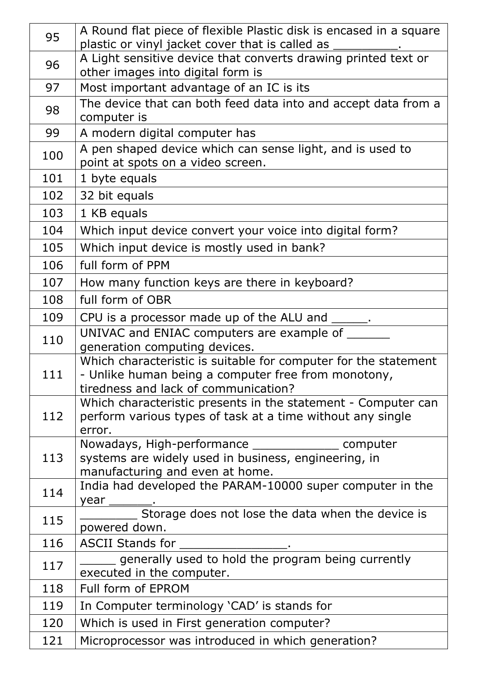| 95  | A Round flat piece of flexible Plastic disk is encased in a square<br>plastic or vinyl jacket cover that is called as |
|-----|-----------------------------------------------------------------------------------------------------------------------|
| 96  | A Light sensitive device that converts drawing printed text or                                                        |
|     | other images into digital form is                                                                                     |
| 97  | Most important advantage of an IC is its                                                                              |
| 98  | The device that can both feed data into and accept data from a<br>computer is                                         |
| 99  | A modern digital computer has                                                                                         |
| 100 | A pen shaped device which can sense light, and is used to                                                             |
|     | point at spots on a video screen.                                                                                     |
| 101 | 1 byte equals                                                                                                         |
| 102 | 32 bit equals                                                                                                         |
| 103 | 1 KB equals                                                                                                           |
| 104 | Which input device convert your voice into digital form?                                                              |
| 105 | Which input device is mostly used in bank?                                                                            |
| 106 | full form of PPM                                                                                                      |
| 107 | How many function keys are there in keyboard?                                                                         |
| 108 | full form of OBR                                                                                                      |
| 109 | CPU is a processor made up of the ALU and ______.                                                                     |
| 110 | UNIVAC and ENIAC computers are example of                                                                             |
|     | generation computing devices.                                                                                         |
|     | Which characteristic is suitable for computer for the statement                                                       |
| 111 | - Unlike human being a computer free from monotony,<br>tiredness and lack of communication?                           |
|     | Which characteristic presents in the statement - Computer can                                                         |
| 112 | perform various types of task at a time without any single                                                            |
|     | error.                                                                                                                |
|     | Nowadays, High-performance __________________ computer                                                                |
| 113 | systems are widely used in business, engineering, in                                                                  |
|     | manufacturing and even at home.<br>India had developed the PARAM-10000 super computer in the                          |
| 114 | year                                                                                                                  |
| 115 | Storage does not lose the data when the device is                                                                     |
|     | powered down.                                                                                                         |
| 116 | ASCII Stands for                                                                                                      |
| 117 | generally used to hold the program being currently<br>executed in the computer.                                       |
| 118 | Full form of EPROM                                                                                                    |
| 119 | In Computer terminology 'CAD' is stands for                                                                           |
| 120 | Which is used in First generation computer?                                                                           |
| 121 | Microprocessor was introduced in which generation?                                                                    |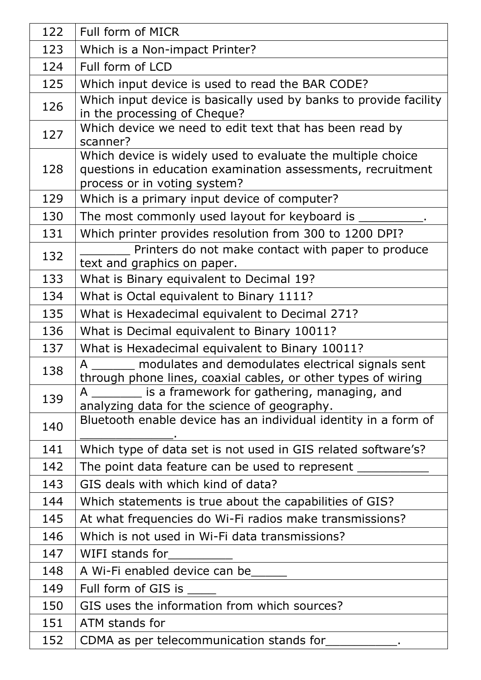| 122 | Full form of MICR                                                                                                                                          |
|-----|------------------------------------------------------------------------------------------------------------------------------------------------------------|
| 123 | Which is a Non-impact Printer?                                                                                                                             |
| 124 | Full form of LCD                                                                                                                                           |
| 125 | Which input device is used to read the BAR CODE?                                                                                                           |
| 126 | Which input device is basically used by banks to provide facility<br>in the processing of Cheque?                                                          |
| 127 | Which device we need to edit text that has been read by<br>scanner?                                                                                        |
| 128 | Which device is widely used to evaluate the multiple choice<br>questions in education examination assessments, recruitment<br>process or in voting system? |
| 129 | Which is a primary input device of computer?                                                                                                               |
| 130 | The most commonly used layout for keyboard is _                                                                                                            |
| 131 | Which printer provides resolution from 300 to 1200 DPI?                                                                                                    |
| 132 | Printers do not make contact with paper to produce<br>text and graphics on paper.                                                                          |
| 133 | What is Binary equivalent to Decimal 19?                                                                                                                   |
| 134 | What is Octal equivalent to Binary 1111?                                                                                                                   |
| 135 | What is Hexadecimal equivalent to Decimal 271?                                                                                                             |
| 136 | What is Decimal equivalent to Binary 10011?                                                                                                                |
| 137 | What is Hexadecimal equivalent to Binary 10011?                                                                                                            |
| 138 | modulates and demodulates electrical signals sent<br>A<br>through phone lines, coaxial cables, or other types of wiring                                    |
| 139 | is a framework for gathering, managing, and<br>A<br>analyzing data for the science of geography.                                                           |
| 140 | Bluetooth enable device has an individual identity in a form of                                                                                            |
| 141 | Which type of data set is not used in GIS related software's?                                                                                              |
| 142 | The point data feature can be used to represent __                                                                                                         |
| 143 | GIS deals with which kind of data?                                                                                                                         |
| 144 | Which statements is true about the capabilities of GIS?                                                                                                    |
| 145 | At what frequencies do Wi-Fi radios make transmissions?                                                                                                    |
| 146 | Which is not used in Wi-Fi data transmissions?                                                                                                             |
| 147 | WIFI stands for                                                                                                                                            |
| 148 | A Wi-Fi enabled device can be                                                                                                                              |
| 149 | Full form of GIS is                                                                                                                                        |
| 150 | GIS uses the information from which sources?                                                                                                               |
| 151 | ATM stands for                                                                                                                                             |
| 152 | CDMA as per telecommunication stands for                                                                                                                   |